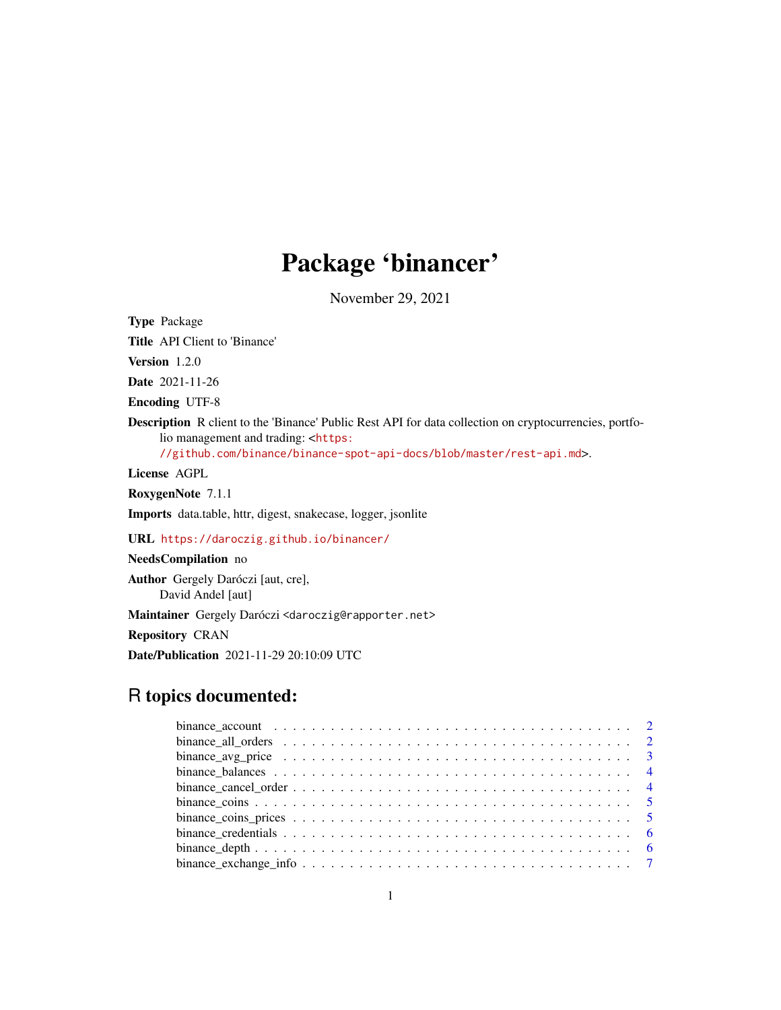# Package 'binancer'

November 29, 2021

Type Package

Title API Client to 'Binance'

Version 1.2.0

Date 2021-11-26

Encoding UTF-8

Description R client to the 'Binance' Public Rest API for data collection on cryptocurrencies, portfolio management and trading: <[https:](https://github.com/binance/binance-spot-api-docs/blob/master/rest-api.md)

[//github.com/binance/binance-spot-api-docs/blob/master/rest-api.md](https://github.com/binance/binance-spot-api-docs/blob/master/rest-api.md)>.

License AGPL

RoxygenNote 7.1.1

Imports data.table, httr, digest, snakecase, logger, jsonlite

URL <https://daroczig.github.io/binancer/>

NeedsCompilation no

Author Gergely Daróczi [aut, cre], David Andel [aut]

Maintainer Gergely Daróczi <daroczig@rapporter.net>

Repository CRAN

Date/Publication 2021-11-29 20:10:09 UTC

# R topics documented: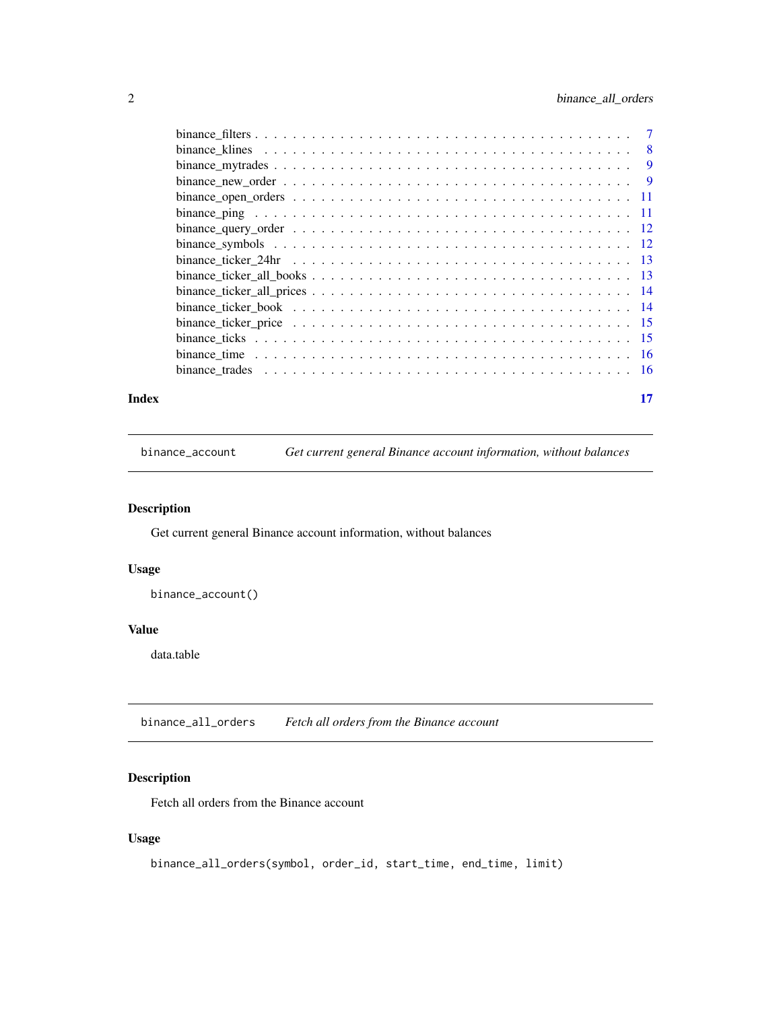<span id="page-1-0"></span>

| Index | 17 |
|-------|----|

binance\_account *Get current general Binance account information, without balances*

#### Description

Get current general Binance account information, without balances

### Usage

binance\_account()

#### Value

data.table

binance\_all\_orders *Fetch all orders from the Binance account*

# Description

Fetch all orders from the Binance account

# Usage

binance\_all\_orders(symbol, order\_id, start\_time, end\_time, limit)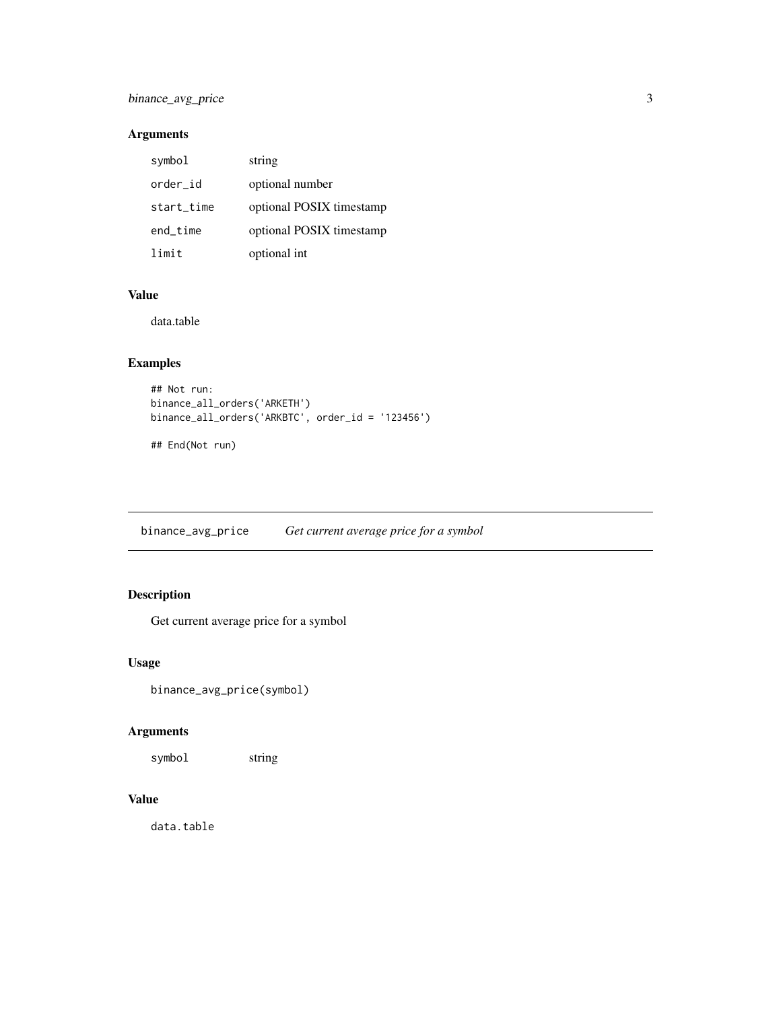# <span id="page-2-0"></span>binance\_avg\_price 3

# Arguments

| symbol      | string                   |
|-------------|--------------------------|
| order_id    | optional number          |
| start_time  | optional POSIX timestamp |
| $end$ _time | optional POSIX timestamp |
| limit       | optional int             |

# Value

data.table

# Examples

```
## Not run:
binance_all_orders('ARKETH')
binance_all_orders('ARKBTC', order_id = '123456')
## End(Not run)
```
binance\_avg\_price *Get current average price for a symbol*

# Description

Get current average price for a symbol

#### Usage

```
binance_avg_price(symbol)
```
# Arguments

symbol string

# Value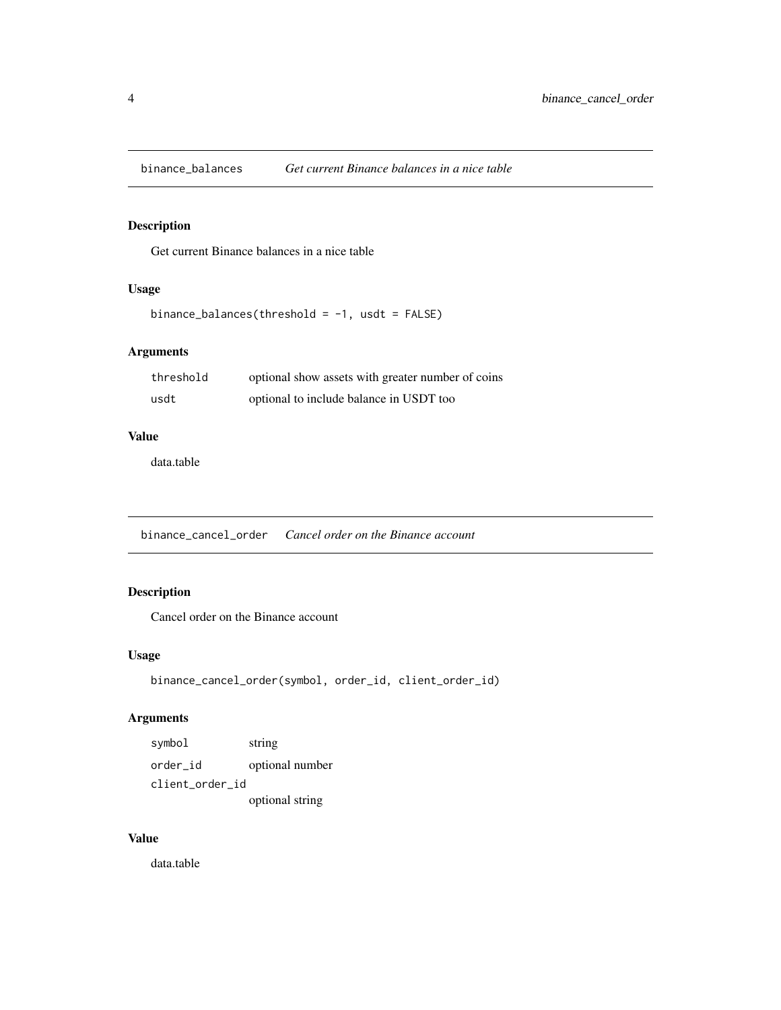<span id="page-3-0"></span>binance\_balances *Get current Binance balances in a nice table*

#### Description

Get current Binance balances in a nice table

#### Usage

```
binance_balances(threshold = -1, usdt = FALSE)
```
# Arguments

| threshold | optional show assets with greater number of coins |
|-----------|---------------------------------------------------|
| usdt      | optional to include balance in USDT too           |

# Value

data.table

binance\_cancel\_order *Cancel order on the Binance account*

#### Description

Cancel order on the Binance account

#### Usage

```
binance_cancel_order(symbol, order_id, client_order_id)
```
#### Arguments

symbol string order\_id optional number client\_order\_id optional string

#### Value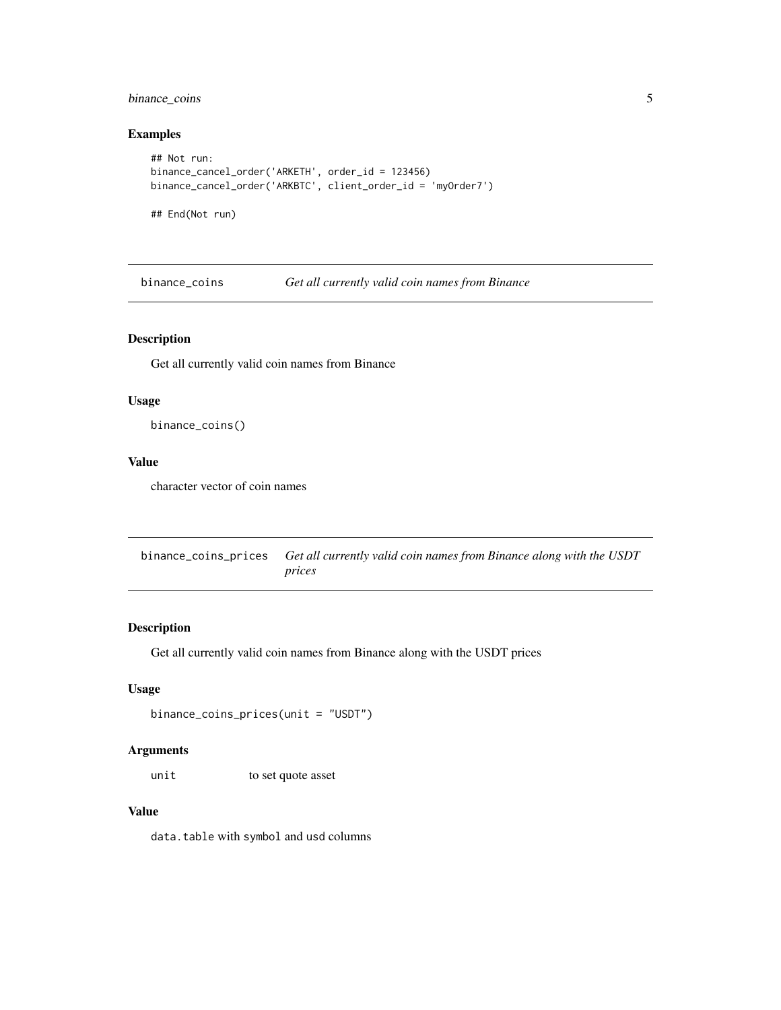#### <span id="page-4-0"></span>binance\_coins 5

#### Examples

```
## Not run:
binance_cancel_order('ARKETH', order_id = 123456)
binance_cancel_order('ARKBTC', client_order_id = 'myOrder7')
## End(Not run)
```
binance\_coins *Get all currently valid coin names from Binance*

#### Description

Get all currently valid coin names from Binance

# Usage

binance\_coins()

#### Value

character vector of coin names

binance\_coins\_prices *Get all currently valid coin names from Binance along with the USDT prices*

#### Description

Get all currently valid coin names from Binance along with the USDT prices

#### Usage

```
binance_coins_prices(unit = "USDT")
```
#### Arguments

unit to set quote asset

#### Value

data.table with symbol and usd columns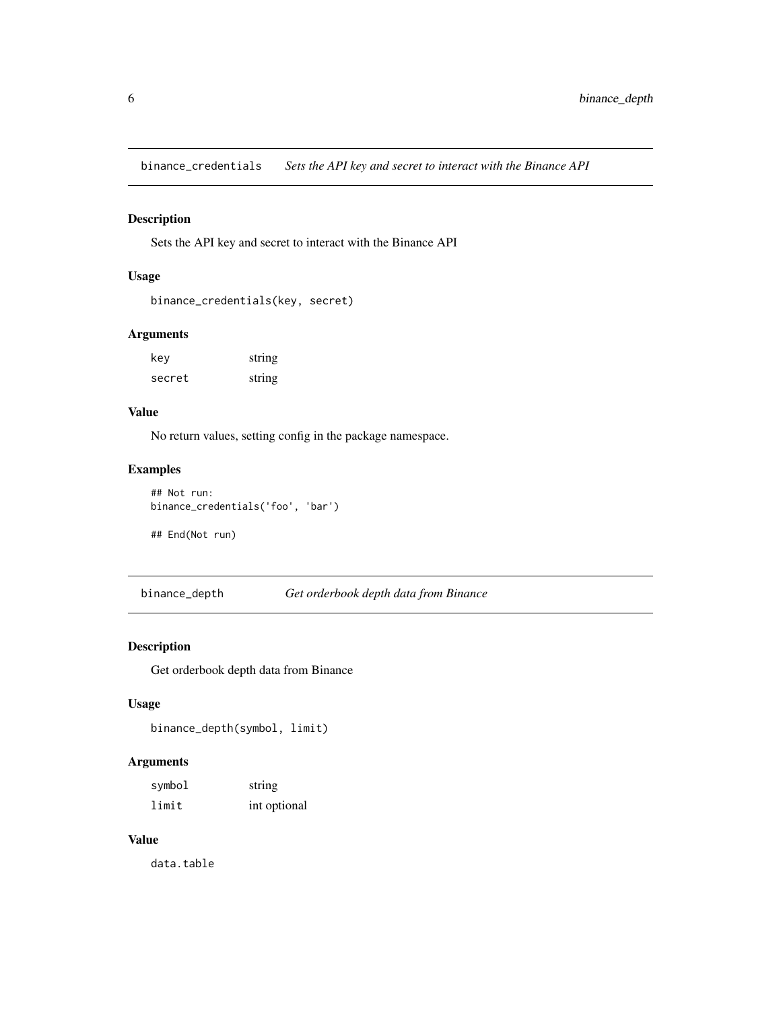<span id="page-5-0"></span>binance\_credentials *Sets the API key and secret to interact with the Binance API*

#### Description

Sets the API key and secret to interact with the Binance API

#### Usage

```
binance_credentials(key, secret)
```
#### Arguments

| key    | string |
|--------|--------|
| secret | string |

#### Value

No return values, setting config in the package namespace.

# Examples

```
## Not run:
binance_credentials('foo', 'bar')
```
## End(Not run)

binance\_depth *Get orderbook depth data from Binance*

### Description

Get orderbook depth data from Binance

#### Usage

```
binance_depth(symbol, limit)
```
#### Arguments

| symbol | string       |
|--------|--------------|
| limit  | int optional |

#### Value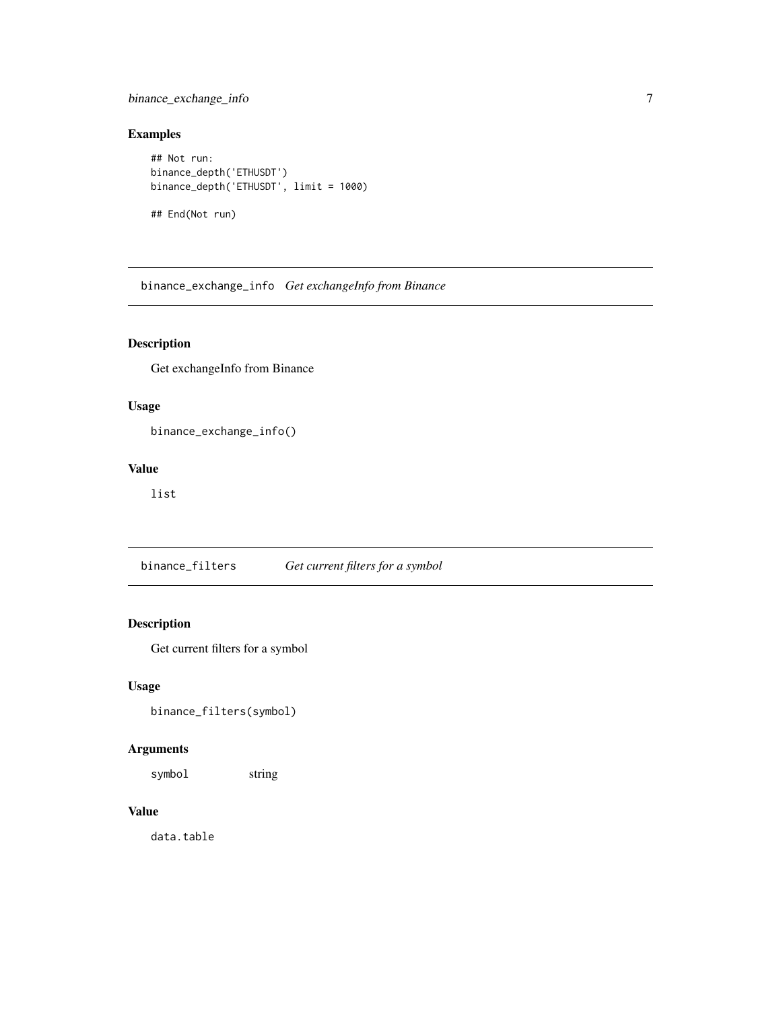<span id="page-6-0"></span>binance\_exchange\_info 7

# Examples

```
## Not run:
binance_depth('ETHUSDT')
binance_depth('ETHUSDT', limit = 1000)
## End(Not run)
```
binance\_exchange\_info *Get exchangeInfo from Binance*

# Description

Get exchangeInfo from Binance

#### Usage

binance\_exchange\_info()

#### Value

list

binance\_filters *Get current filters for a symbol*

# Description

Get current filters for a symbol

#### Usage

binance\_filters(symbol)

#### Arguments

symbol string

#### Value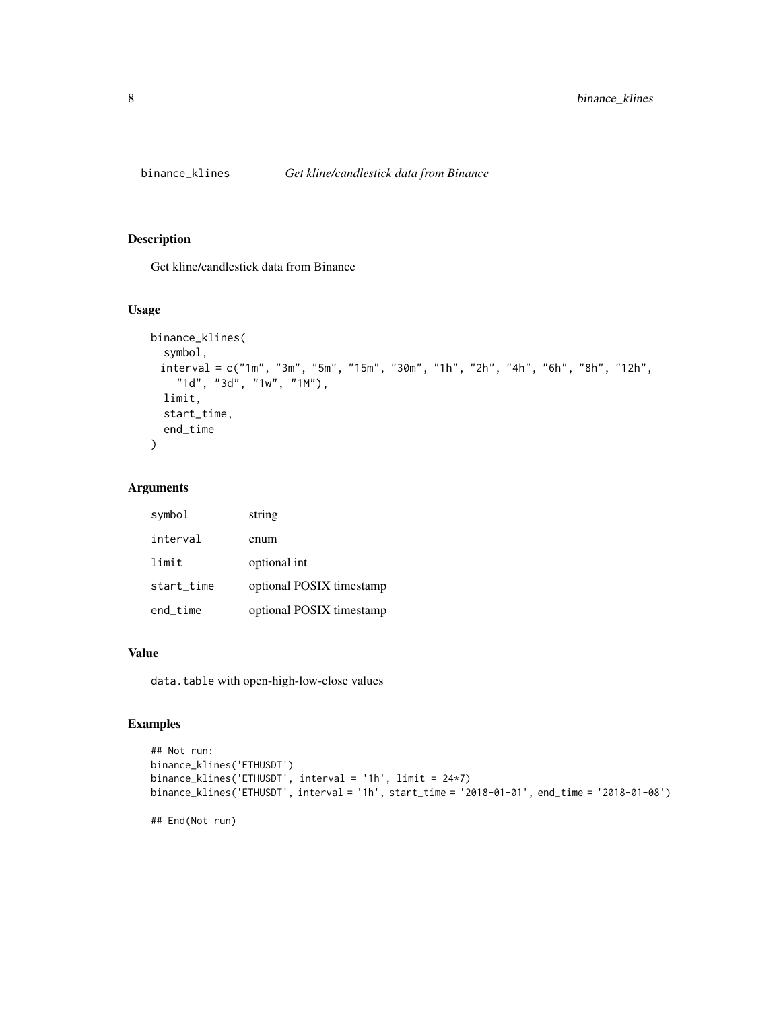<span id="page-7-0"></span>

#### Description

Get kline/candlestick data from Binance

#### Usage

```
binance_klines(
  symbol,
 interval = c("1m", "3m", "5m", "15m", "30m", "1h", "2h", "4h", "6h", "8h", "12h",
    "1d", "3d", "1w", "1M"),
 limit,
  start_time,
  end_time
)
```
#### Arguments

| symbol      | string                   |
|-------------|--------------------------|
| interval    | enum                     |
| limit       | optional int             |
| start_time  | optional POSIX timestamp |
| $end$ _time | optional POSIX timestamp |

#### Value

data.table with open-high-low-close values

#### Examples

```
## Not run:
binance_klines('ETHUSDT')
binance_klines('ETHUSDT', interval = '1h', limit = 24*7)
binance_klines('ETHUSDT', interval = '1h', start_time = '2018-01-01', end_time = '2018-01-08')
## End(Not run)
```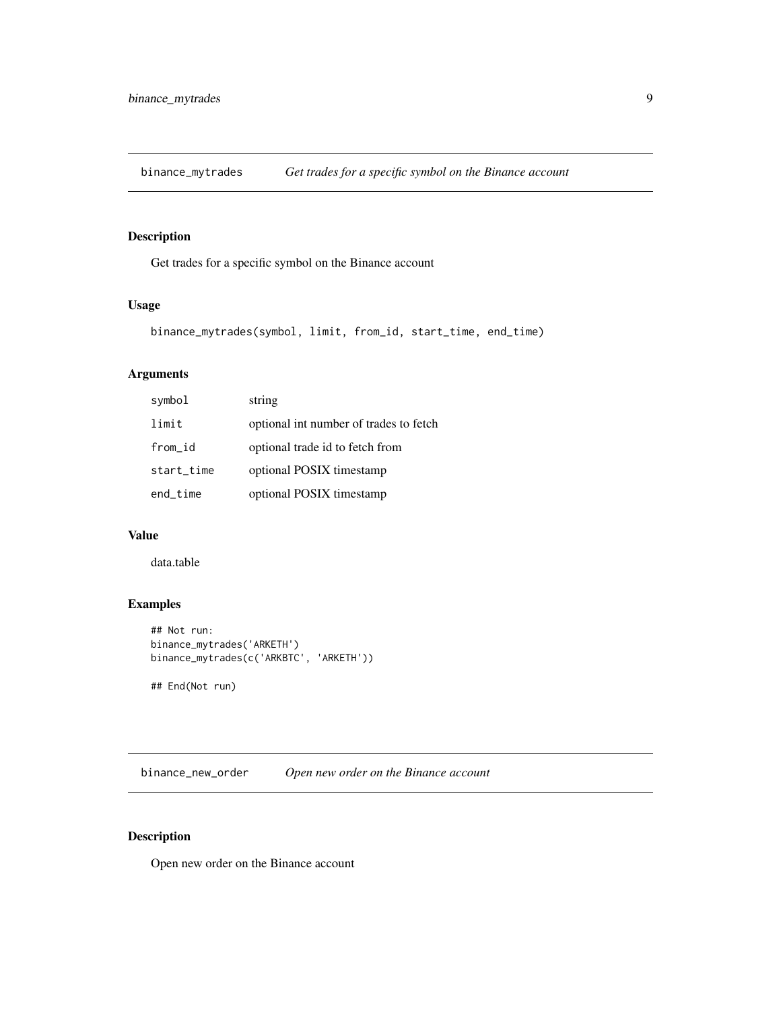<span id="page-8-0"></span>binance\_mytrades *Get trades for a specific symbol on the Binance account*

#### Description

Get trades for a specific symbol on the Binance account

#### Usage

```
binance_mytrades(symbol, limit, from_id, start_time, end_time)
```
#### Arguments

| symbol     | string                                 |
|------------|----------------------------------------|
| limit      | optional int number of trades to fetch |
| from_id    | optional trade id to fetch from        |
| start_time | optional POSIX timestamp               |
| end_time   | optional POSIX timestamp               |

#### Value

data.table

# Examples

```
## Not run:
binance_mytrades('ARKETH')
binance_mytrades(c('ARKBTC', 'ARKETH'))
## End(Not run)
```
binance\_new\_order *Open new order on the Binance account*

# Description

Open new order on the Binance account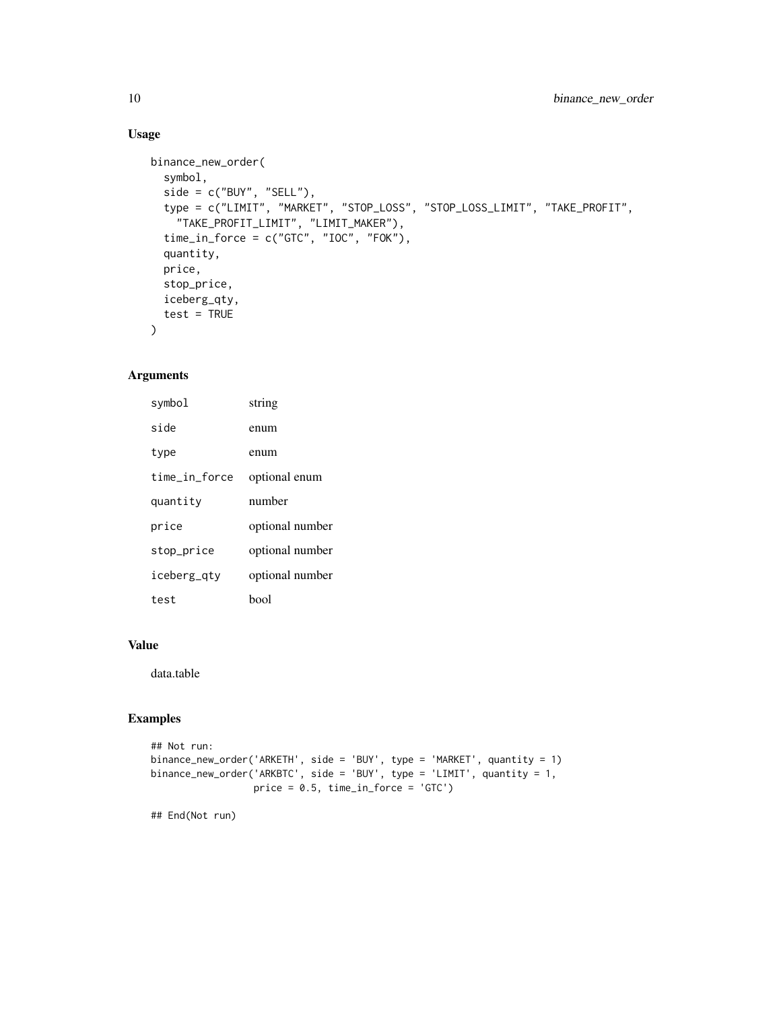#### Usage

```
binance_new_order(
  symbol,
  side = c("BUY", "SELL"),type = c("LIMIT", "MARKET", "STOP_LOSS", "STOP_LOSS_LIMIT", "TAKE_PROFIT",
    "TAKE_PROFIT_LIMIT", "LIMIT_MAKER"),
  time_in_force = c("GTC", "IOC", "FOK"),
  quantity,
  price,
  stop_price,
  iceberg_qty,
  test = TRUE\mathcal{L}
```
#### Arguments

| symbol        | string          |
|---------------|-----------------|
| side          | enum            |
| type          | enum            |
| time_in_force | optional enum   |
| quantity      | number          |
| price         | optional number |
| stop_price    | optional number |
| iceberg_qty   | optional number |
| test          | bool            |

#### Value

data.table

#### Examples

```
## Not run:
binance_new_order('ARKETH', side = 'BUY', type = 'MARKET', quantity = 1)
binance_new_order('ARKBTC', side = 'BUY', type = 'LIMIT', quantity = 1,
                 price = 0.5, time_in_force = 'GTC')
```
## End(Not run)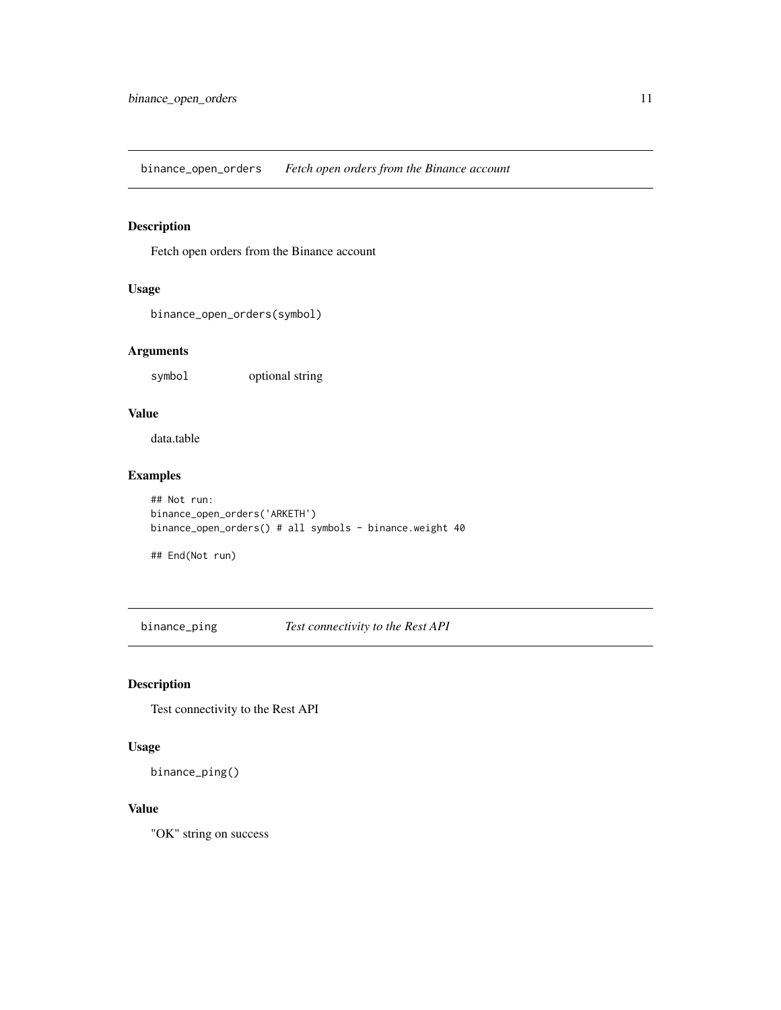<span id="page-10-0"></span>binance\_open\_orders *Fetch open orders from the Binance account*

#### Description

Fetch open orders from the Binance account

#### Usage

binance\_open\_orders(symbol)

# Arguments

symbol optional string

# Value

data.table

#### Examples

```
## Not run:
binance_open_orders('ARKETH')
binance_open_orders() # all symbols - binance.weight 40
```
## End(Not run)

binance\_ping *Test connectivity to the Rest API*

# Description

Test connectivity to the Rest API

# Usage

binance\_ping()

#### Value

"OK" string on success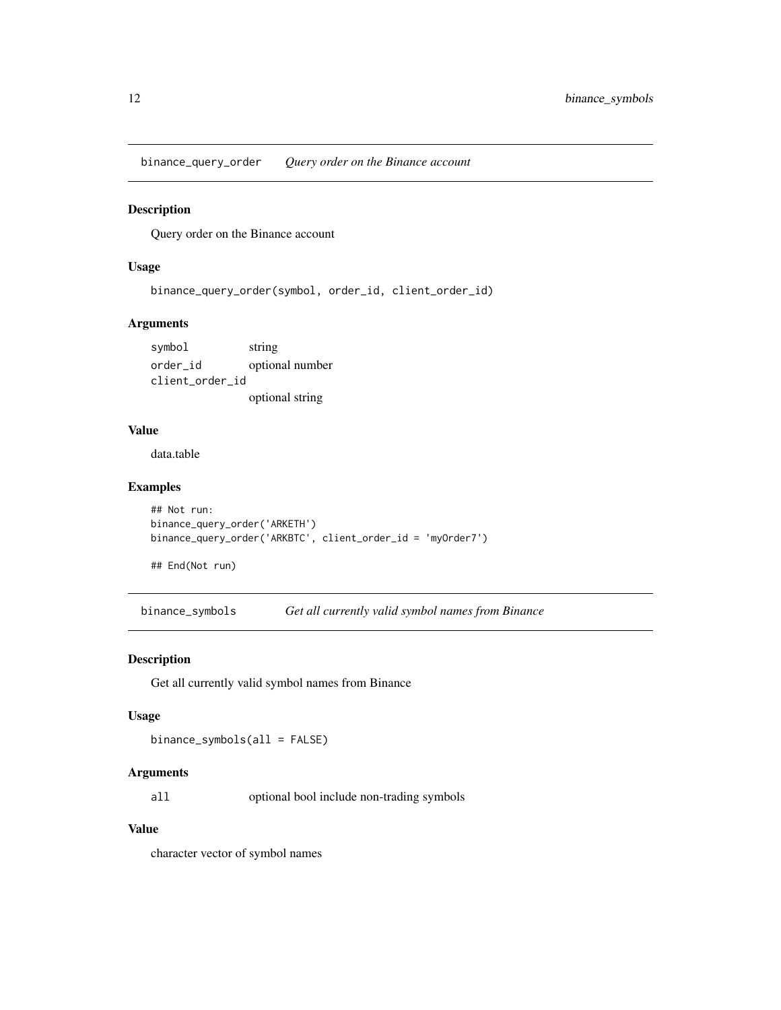<span id="page-11-0"></span>binance\_query\_order *Query order on the Binance account*

# Description

Query order on the Binance account

#### Usage

```
binance_query_order(symbol, order_id, client_order_id)
```
#### Arguments

symbol string order\_id optional number client\_order\_id optional string

#### Value

data.table

#### Examples

```
## Not run:
binance_query_order('ARKETH')
binance_query_order('ARKBTC', client_order_id = 'myOrder7')
```
## End(Not run)

binance\_symbols *Get all currently valid symbol names from Binance*

#### Description

Get all currently valid symbol names from Binance

#### Usage

binance\_symbols(all = FALSE)

#### Arguments

all optional bool include non-trading symbols

# Value

character vector of symbol names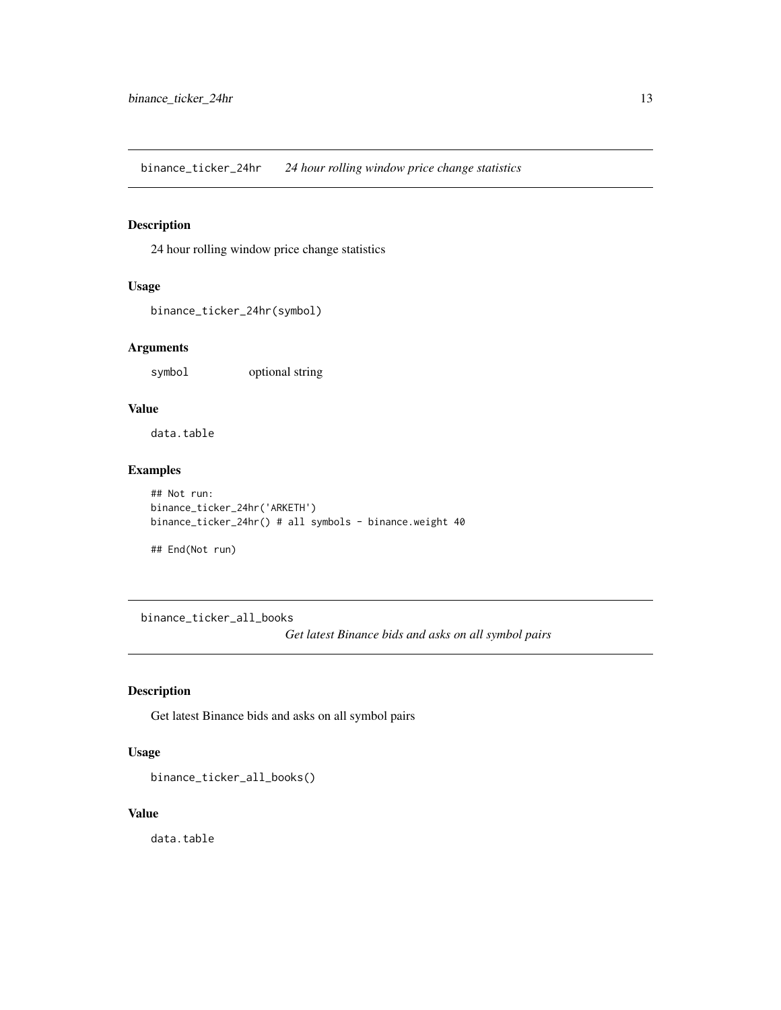<span id="page-12-0"></span>binance\_ticker\_24hr *24 hour rolling window price change statistics*

# Description

24 hour rolling window price change statistics

#### Usage

```
binance_ticker_24hr(symbol)
```
#### Arguments

symbol optional string

# Value

data.table

# Examples

```
## Not run:
binance_ticker_24hr('ARKETH')
binance_ticker_24hr() # all symbols - binance.weight 40
```
## End(Not run)

binance\_ticker\_all\_books

*Get latest Binance bids and asks on all symbol pairs*

#### Description

Get latest Binance bids and asks on all symbol pairs

#### Usage

binance\_ticker\_all\_books()

# Value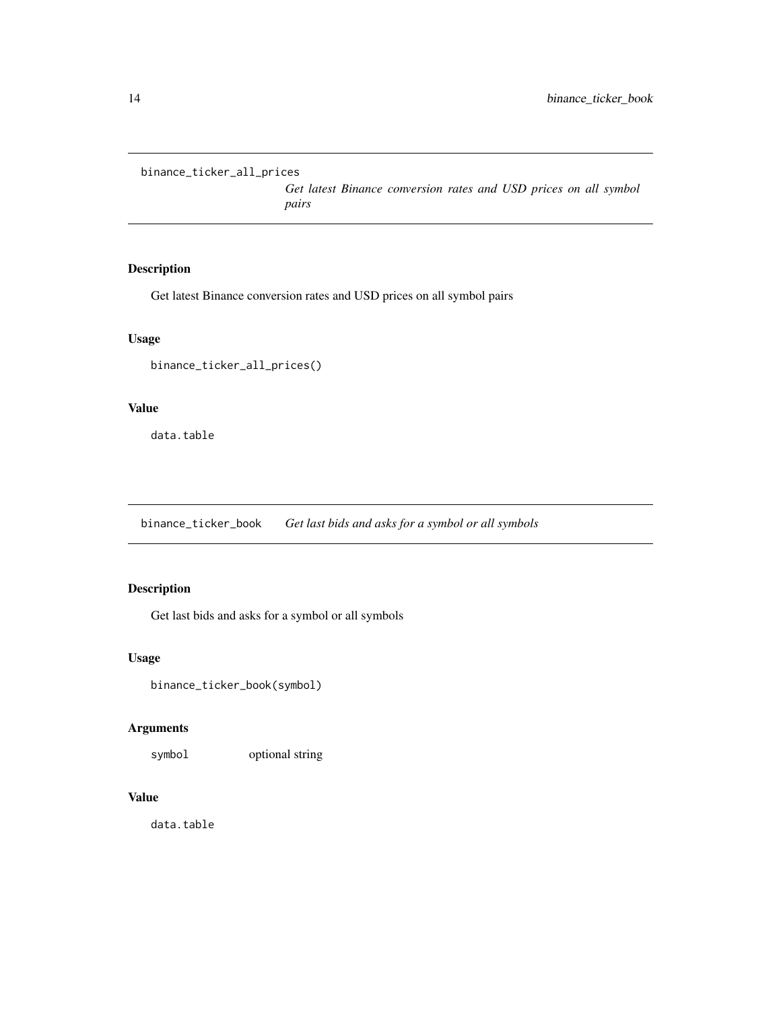<span id="page-13-0"></span>binance\_ticker\_all\_prices

*Get latest Binance conversion rates and USD prices on all symbol pairs*

#### Description

Get latest Binance conversion rates and USD prices on all symbol pairs

#### Usage

```
binance_ticker_all_prices()
```
# Value

data.table

binance\_ticker\_book *Get last bids and asks for a symbol or all symbols*

# Description

Get last bids and asks for a symbol or all symbols

#### Usage

```
binance_ticker_book(symbol)
```
#### Arguments

symbol optional string

#### Value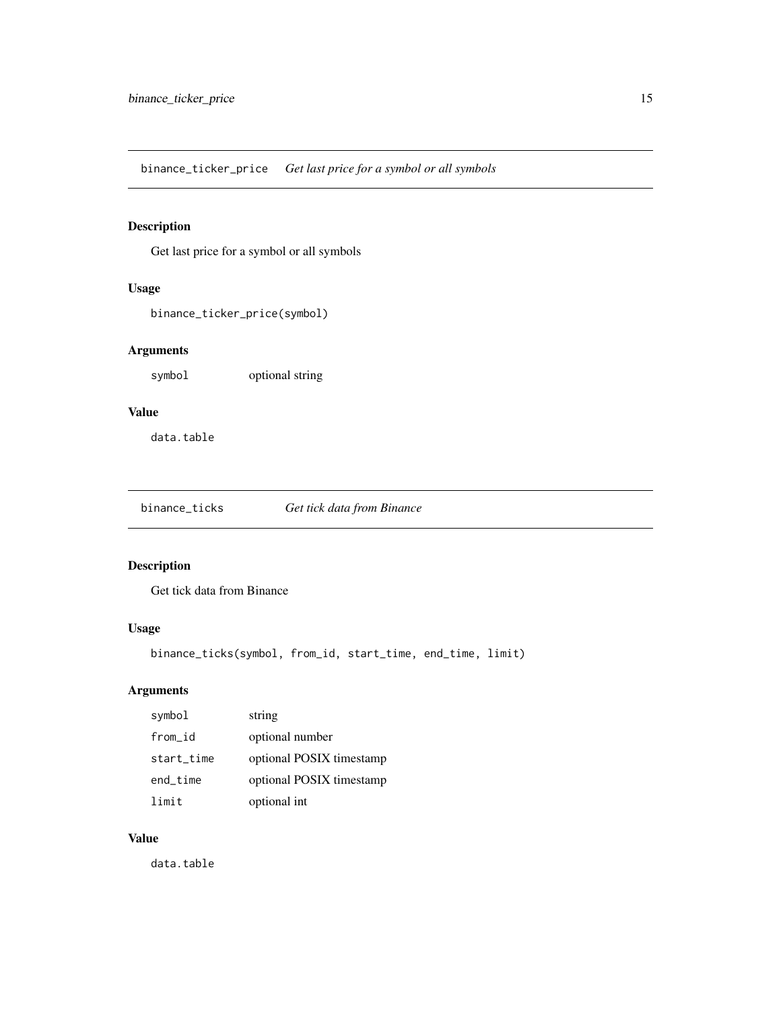<span id="page-14-0"></span>binance\_ticker\_price *Get last price for a symbol or all symbols*

# Description

Get last price for a symbol or all symbols

#### Usage

binance\_ticker\_price(symbol)

# Arguments

symbol optional string

# Value

data.table

binance\_ticks *Get tick data from Binance*

#### Description

Get tick data from Binance

#### Usage

binance\_ticks(symbol, from\_id, start\_time, end\_time, limit)

#### Arguments

| symbol      | string                   |
|-------------|--------------------------|
| from_id     | optional number          |
| start_time  | optional POSIX timestamp |
| $end$ _time | optional POSIX timestamp |
| limit       | optional int             |

#### Value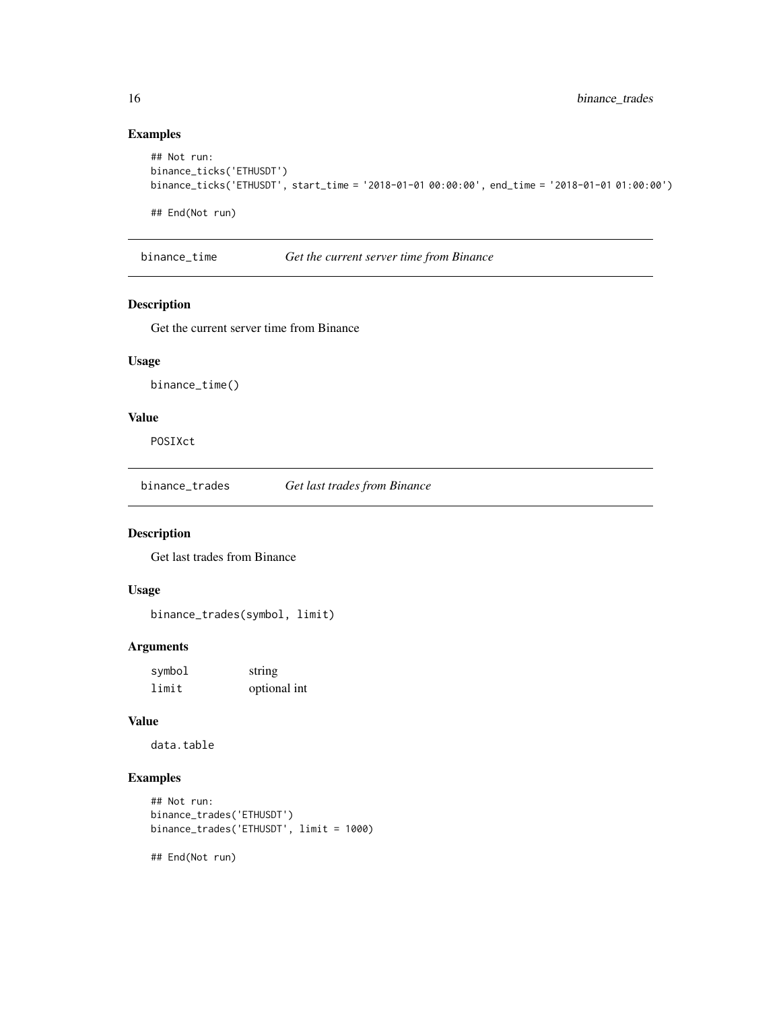# Examples

```
## Not run:
binance_ticks('ETHUSDT')
binance_ticks('ETHUSDT', start_time = '2018-01-01 00:00:00', end_time = '2018-01-01 01:00:00')
## End(Not run)
```
binance\_time *Get the current server time from Binance*

# Description

Get the current server time from Binance

#### Usage

binance\_time()

#### Value

POSIXct

binance\_trades *Get last trades from Binance*

# Description

Get last trades from Binance

# Usage

binance\_trades(symbol, limit)

#### Arguments

| symbol | string       |
|--------|--------------|
| limit  | optional int |

#### Value

data.table

#### Examples

```
## Not run:
binance_trades('ETHUSDT')
binance_trades('ETHUSDT', limit = 1000)
```
## End(Not run)

<span id="page-15-0"></span>